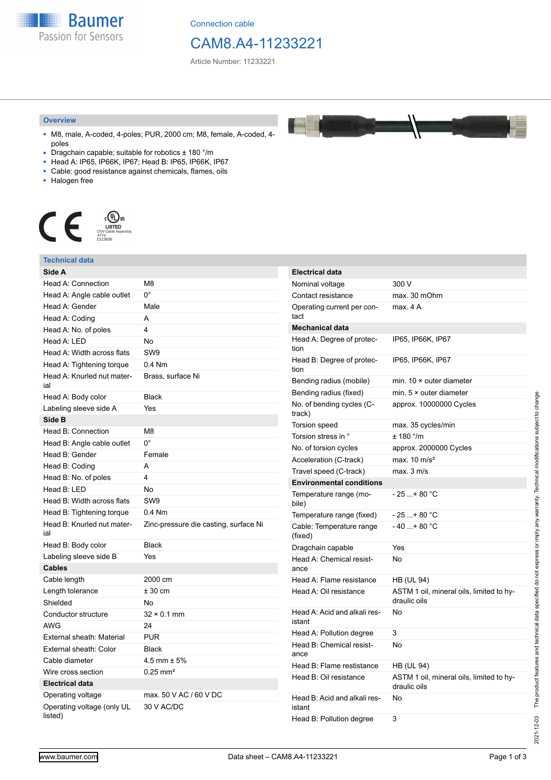**Baumer** Passion for Sensors

Connection cable

## CAM8.A4-11233221

Article Number: 11233221

#### **Overview**

- M8, male, A-coded, 4-poles; PUR, 2000 cm; M8, female, A-coded, 4 poles
- Dragchain capable; suitable for robotics  $\pm$  180 °/m
- Head A: IP65, IP66K, IP67; Head B: IP65, IP66K, IP67
- Cable: good resistance against chemicals, flames, oils
- Halogen free



#### **Technical data Side A** Head A: Connection M8 Head A: Angle cable outlet 0° Head A: Gender Male Head A: Coding A Head A: No. of poles 4 Head A: LED No Head A: Width across flats SW9 Head A: Tightening torque 0.4 Nm Head A: Knurled nut material Brass, surface Ni Head A: Body color Black Labeling sleeve side A Yes **Side B** Head B: Connection M8 Head B: Angle cable outlet 0° Head B: Gender Female Head B: Coding **A** Head B: No. of poles 4 Head B: LED No Head B: Width across flats SW9 Head B: Tightening torque 0.4 Nm Head B: Knurled nut material Zinc-pressure die casting, surface Ni Head B: Body color Black Labeling sleeve side B Yes **Cables** Cable length 2000 cm Length tolerance  $\pm 30 \text{ cm}$ Shielded No Conductor structure 32 × 0.1 mm AWG 24 External sheath: Material PUR External sheath: Color Black Cable diameter  $4.5 \text{ mm} \pm 5\%$ Wire cross section 0.25 mm<sup>2</sup> **Electrical data** Operating voltage max. 50 V AC / 60 V DC Operating voltage (only UL listed) 30 V AC/DC **Electrical data** Nominal voltage 300 V Contact resistance max. 30 mOhm Operating current per contact max. 4 A **Mechanical data** Head A: Degree of protection IP65, IP66K, IP67 Head B: Degree of protection IP65, IP66K, IP67 Bending radius (mobile) min. 10 × outer diameter Bending radius (fixed) min. 5 × outer diameter No. of bending cycles (Ctrack) approx. 10000000 Cycles Torsion speed max. 35 cycles/min Torsion stress in °  $\pm$  180 °/m No. of torsion cycles approx. 2000000 Cycles Acceleration (C-track) max. 10 m/s<sup>2</sup> Travel speed (C-track) max. 3 m/s **Environmental conditions** Temperature range (mobile)  $-25 + 80 °C$ Temperature range (fixed)  $-25...+80$  °C Cable: Temperature range (fixed)  $-40...+80 °C$ Dragchain capable Yes Head A: Chemical resistance No Head A: Flame resistance HB (UL 94) Head A: Oil resistance ASTM 1 oil, mineral oils, limited to hydraulic oils Head A: Acid and alkali resistant No Head A: Pollution degree 3 Head B: Chemical resistance No Head B: Flame restistance HB (UL 94) Head B: Oil resistance ASTM 1 oil, mineral oils, limited to hydraulic oils Head B: Acid and alkali resistant No Head B: Pollution degree 3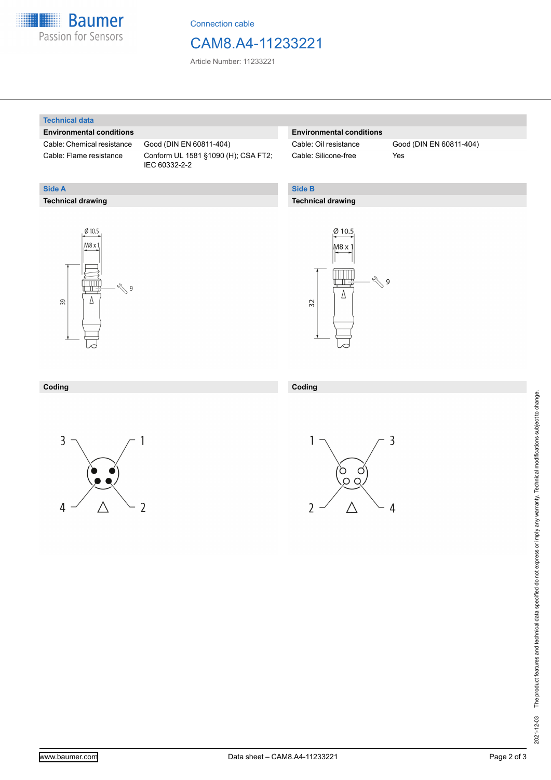

Connection cable

### CAM8.A4-11233221

Article Number: 11233221

#### **Technical data**

**Technical drawing**

**Side A**

#### **Environmental conditions**

Cable: Chemical resistance Good (DIN EN 60811-404)

Cable: Flame resistance Conform UL 1581 §1090 (H); CSA FT2; IEC 60332-2-2

#### **Environmental conditions**

Cable: Silicone-free Yes

Cable: Oil resistance Good (DIN EN 60811-404)

### **Side B**

**Coding**

#### **Technical drawing**





#### **Coding**